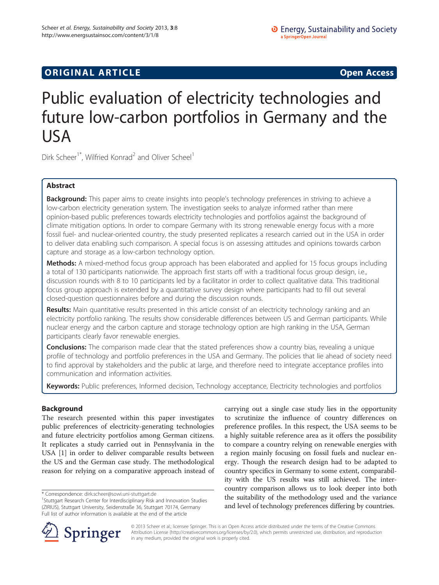# **ORIGINAL ARTICLE CONFIDENTIAL ARTICLE**

# Public evaluation of electricity technologies and future low-carbon portfolios in Germany and the USA

Dirk Scheer<sup>1\*</sup>, Wilfried Konrad<sup>2</sup> and Oliver Scheel<sup>1</sup>

# Abstract

Background: This paper aims to create insights into people's technology preferences in striving to achieve a low-carbon electricity generation system. The investigation seeks to analyze informed rather than mere opinion-based public preferences towards electricity technologies and portfolios against the background of climate mitigation options. In order to compare Germany with its strong renewable energy focus with a more fossil fuel- and nuclear-oriented country, the study presented replicates a research carried out in the USA in order to deliver data enabling such comparison. A special focus is on assessing attitudes and opinions towards carbon capture and storage as a low-carbon technology option.

**Methods:** A mixed-method focus group approach has been elaborated and applied for 15 focus groups including a total of 130 participants nationwide. The approach first starts off with a traditional focus group design, i.e., discussion rounds with 8 to 10 participants led by a facilitator in order to collect qualitative data. This traditional focus group approach is extended by a quantitative survey design where participants had to fill out several closed-question questionnaires before and during the discussion rounds.

Results: Main quantitative results presented in this article consist of an electricity technology ranking and an electricity portfolio ranking. The results show considerable differences between US and German participants. While nuclear energy and the carbon capture and storage technology option are high ranking in the USA, German participants clearly favor renewable energies.

**Conclusions:** The comparison made clear that the stated preferences show a country bias, revealing a unique profile of technology and portfolio preferences in the USA and Germany. The policies that lie ahead of society need to find approval by stakeholders and the public at large, and therefore need to integrate acceptance profiles into communication and information activities.

Keywords: Public preferences, Informed decision, Technology acceptance, Electricity technologies and portfolios

# Background

The research presented within this paper investigates public preferences of electricity-generating technologies and future electricity portfolios among German citizens. It replicates a study carried out in Pennsylvania in the USA [[1\]](#page-11-0) in order to deliver comparable results between the US and the German case study. The methodological reason for relying on a comparative approach instead of

carrying out a single case study lies in the opportunity to scrutinize the influence of country differences on preference profiles. In this respect, the USA seems to be a highly suitable reference area as it offers the possibility to compare a country relying on renewable energies with a region mainly focusing on fossil fuels and nuclear energy. Though the research design had to be adapted to country specifics in Germany to some extent, comparability with the US results was still achieved. The intercountry comparison allows us to look deeper into both the suitability of the methodology used and the variance and level of technology preferences differing by countries.



© 2013 Scheer et al.; licensee Springer. This is an Open Access article distributed under the terms of the Creative Commons Attribution License [\(http://creativecommons.org/licenses/by/2.0\)](http://creativecommons.org/licenses/by/2.0), which permits unrestricted use, distribution, and reproduction in any medium, provided the original work is properly cited.

<sup>\*</sup> Correspondence: [dirk.scheer@sowi.uni-stuttgart.de](mailto:dirk.scheer@sowi.uni-stuttgart.de) <sup>1</sup>

<sup>&</sup>lt;sup>1</sup> Stuttgart Research Center for Interdisciplinary Risk and Innovation Studies (ZIRIUS), Stuttgart University, Seidenstraße 36, Stuttgart 70174, Germany Full list of author information is available at the end of the article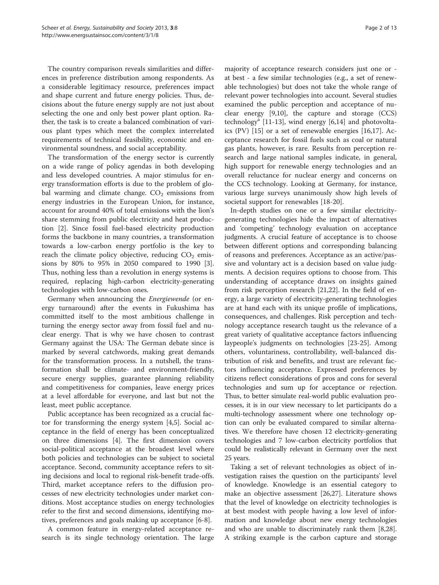The country comparison reveals similarities and differences in preference distribution among respondents. As a considerable legitimacy resource, preferences impact and shape current and future energy policies. Thus, decisions about the future energy supply are not just about selecting the one and only best power plant option. Rather, the task is to create a balanced combination of various plant types which meet the complex interrelated requirements of technical feasibility, economic and environmental soundness, and social acceptability.

The transformation of the energy sector is currently on a wide range of policy agendas in both developing and less developed countries. A major stimulus for energy transformation efforts is due to the problem of global warming and climate change.  $CO<sub>2</sub>$  emissions from energy industries in the European Union, for instance, account for around 40% of total emissions with the lion's share stemming from public electricity and heat production [[2\]](#page-11-0). Since fossil fuel-based electricity production forms the backbone in many countries, a transformation towards a low-carbon energy portfolio is the key to reach the climate policy objective, reducing  $CO<sub>2</sub>$  emissions by 80% to 95% in 2050 compared to 1990 [\[3](#page-11-0)]. Thus, nothing less than a revolution in energy systems is required, replacing high-carbon electricity-generating technologies with low-carbon ones.

Germany when announcing the Energiewende (or energy turnaround) after the events in Fukushima has committed itself to the most ambitious challenge in turning the energy sector away from fossil fuel and nuclear energy. That is why we have chosen to contrast Germany against the USA: The German debate since is marked by several catchwords, making great demands for the transformation process. In a nutshell, the transformation shall be climate- and environment-friendly, secure energy supplies, guarantee planning reliability and competitiveness for companies, leave energy prices at a level affordable for everyone, and last but not the least, meet public acceptance.

Public acceptance has been recognized as a crucial factor for transforming the energy system [[4,5\]](#page-11-0). Social acceptance in the field of energy has been conceptualized on three dimensions [[4\]](#page-11-0). The first dimension covers social-political acceptance at the broadest level where both policies and technologies can be subject to societal acceptance. Second, community acceptance refers to siting decisions and local to regional risk-benefit trade-offs. Third, market acceptance refers to the diffusion processes of new electricity technologies under market conditions. Most acceptance studies on energy technologies refer to the first and second dimensions, identifying motives, preferences and goals making up acceptance [[6-8](#page-11-0)].

A common feature in energy-related acceptance research is its single technology orientation. The large

majority of acceptance research considers just one or at best - a few similar technologies (e.g., a set of renewable technologies) but does not take the whole range of relevant power technologies into account. Several studies examined the public perception and acceptance of nuclear energy [[9](#page-11-0),[10](#page-11-0)], the capture and storage (CCS) technology<sup>a</sup> [\[11](#page-11-0)-[13\]](#page-11-0), wind energy  $[6,14]$  and photovoltaics (PV) [[15\]](#page-11-0) or a set of renewable energies [\[16,17\]](#page-11-0). Acceptance research for fossil fuels such as coal or natural gas plants, however, is rare. Results from perception research and large national samples indicate, in general, high support for renewable energy technologies and an overall reluctance for nuclear energy and concerns on the CCS technology. Looking at Germany, for instance, various large surveys unanimously show high levels of societal support for renewables [\[18-20](#page-11-0)].

In-depth studies on one or a few similar electricitygenerating technologies hide the impact of alternatives and 'competing' technology evaluation on acceptance judgments. A crucial feature of acceptance is to choose between different options and corresponding balancing of reasons and preferences. Acceptance as an active/passive and voluntary act is a decision based on value judgments. A decision requires options to choose from. This understanding of acceptance draws on insights gained from risk perception research [[21,22\]](#page-11-0). In the field of energy, a large variety of electricity-generating technologies are at hand each with its unique profile of implications, consequences, and challenges. Risk perception and technology acceptance research taught us the relevance of a great variety of qualitative acceptance factors influencing laypeople's judgments on technologies [[23-25](#page-11-0)]. Among others, voluntariness, controllability, well-balanced distribution of risk and benefits, and trust are relevant factors influencing acceptance. Expressed preferences by citizens reflect considerations of pros and cons for several technologies and sum up for acceptance or rejection. Thus, to better simulate real-world public evaluation processes, it is in our view necessary to let participants do a multi-technology assessment where one technology option can only be evaluated compared to similar alternatives. We therefore have chosen 12 electricity-generating technologies and 7 low-carbon electricity portfolios that could be realistically relevant in Germany over the next 25 years.

Taking a set of relevant technologies as object of investigation raises the question on the participants' level of knowledge. Knowledge is an essential category to make an objective assessment [[26,27\]](#page-11-0). Literature shows that the level of knowledge on electricity technologies is at best modest with people having a low level of information and knowledge about new energy technologies and who are unable to discriminately rank them [\[8,28](#page-11-0)]. A striking example is the carbon capture and storage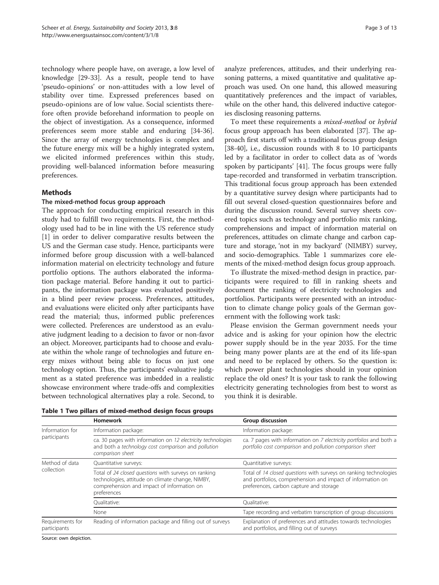technology where people have, on average, a low level of knowledge [\[29](#page-11-0)-[33](#page-12-0)]. As a result, people tend to have 'pseudo-opinions' or non-attitudes with a low level of stability over time. Expressed preferences based on pseudo-opinions are of low value. Social scientists therefore often provide beforehand information to people on the object of investigation. As a consequence, informed preferences seem more stable and enduring [\[34-36](#page-12-0)]. Since the array of energy technologies is complex and the future energy mix will be a highly integrated system, we elicited informed preferences within this study, providing well-balanced information before measuring preferences.

#### Methods

#### The mixed-method focus group approach

The approach for conducting empirical research in this study had to fulfill two requirements. First, the methodology used had to be in line with the US reference study [[1\]](#page-11-0) in order to deliver comparative results between the US and the German case study. Hence, participants were informed before group discussion with a well-balanced information material on electricity technology and future portfolio options. The authors elaborated the information package material. Before handing it out to participants, the information package was evaluated positively in a blind peer review process. Preferences, attitudes, and evaluations were elicited only after participants have read the material; thus, informed public preferences were collected. Preferences are understood as an evaluative judgment leading to a decision to favor or non-favor an object. Moreover, participants had to choose and evaluate within the whole range of technologies and future energy mixes without being able to focus on just one technology option. Thus, the participants' evaluative judgment as a stated preference was imbedded in a realistic showcase environment where trade-offs and complexities between technological alternatives play a role. Second, to

analyze preferences, attitudes, and their underlying reasoning patterns, a mixed quantitative and qualitative approach was used. On one hand, this allowed measuring quantitatively preferences and the impact of variables, while on the other hand, this delivered inductive categories disclosing reasoning patterns.

To meet these requirements a mixed-method or hybrid focus group approach has been elaborated [\[37\]](#page-12-0). The approach first starts off with a traditional focus group design [[38](#page-12-0)-[40\]](#page-12-0), i.e., discussion rounds with 8 to 10 participants led by a facilitator in order to collect data as of 'words spoken by participants' [\[41\]](#page-12-0). The focus groups were fully tape-recorded and transformed in verbatim transcription. This traditional focus group approach has been extended by a quantitative survey design where participants had to fill out several closed-question questionnaires before and during the discussion round. Several survey sheets covered topics such as technology and portfolio mix ranking, comprehensions and impact of information material on preferences, attitudes on climate change and carbon capture and storage, 'not in my backyard' (NIMBY) survey, and socio-demographics. Table 1 summarizes core elements of the mixed-method design focus group approach.

To illustrate the mixed-method design in practice, participants were required to fill in ranking sheets and document the ranking of electricity technologies and portfolios. Participants were presented with an introduction to climate change policy goals of the German government with the following work task:

Please envision the German government needs your advice and is asking for your opinion how the electric power supply should be in the year 2035. For the time being many power plants are at the end of its life-span and need to be replaced by others. So the question is: which power plant technologies should in your opinion replace the old ones? It is your task to rank the following electricity generating technologies from best to worst as you think it is desirable.

Table 1 Two pillars of mixed-method design focus groups

|                                  | <b>Homework</b>                                                                                                                                                       | <b>Group discussion</b>                                                                                                                                                    |  |  |
|----------------------------------|-----------------------------------------------------------------------------------------------------------------------------------------------------------------------|----------------------------------------------------------------------------------------------------------------------------------------------------------------------------|--|--|
| Information for<br>participants  | Information package:                                                                                                                                                  | Information package:                                                                                                                                                       |  |  |
|                                  | ca. 30 pages with information on 12 electricity technologies<br>and both a technology cost comparison and pollution<br>comparison sheet                               | ca. 7 pages with information on 7 electricity portfolios and both a<br>portfolio cost comparison and pollution comparison sheet                                            |  |  |
| Method of data<br>collection     | Quantitative surveys:                                                                                                                                                 | Quantitative surveys:                                                                                                                                                      |  |  |
|                                  | Total of 24 closed questions with surveys on ranking<br>technologies, attitude on climate change, NIMBY,<br>comprehension and impact of information on<br>preferences | Total of 14 closed questions with surveys on ranking technologies<br>and portfolios, comprehension and impact of information on<br>preferences, carbon capture and storage |  |  |
|                                  | Oualitative:                                                                                                                                                          | Oualitative:                                                                                                                                                               |  |  |
|                                  | None                                                                                                                                                                  | Tape recording and verbatim transcription of group discussions                                                                                                             |  |  |
| Requirements for<br>participants | Reading of information package and filling out of surveys                                                                                                             | Explanation of preferences and attitudes towards technologies<br>and portfolios, and filling out of surveys                                                                |  |  |
|                                  |                                                                                                                                                                       |                                                                                                                                                                            |  |  |

Source: own depiction.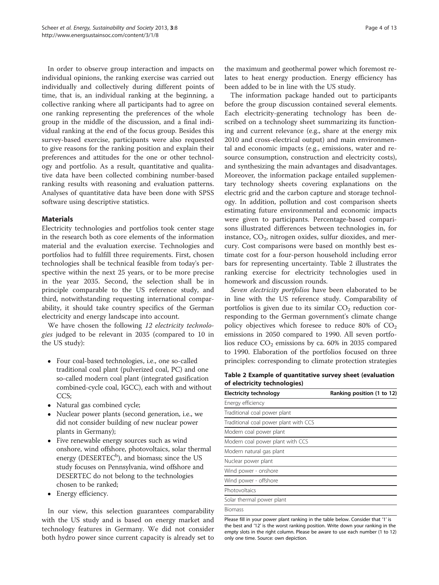In order to observe group interaction and impacts on individual opinions, the ranking exercise was carried out individually and collectively during different points of time, that is, an individual ranking at the beginning, a collective ranking where all participants had to agree on one ranking representing the preferences of the whole group in the middle of the discussion, and a final individual ranking at the end of the focus group. Besides this survey-based exercise, participants were also requested to give reasons for the ranking position and explain their preferences and attitudes for the one or other technology and portfolio. As a result, quantitative and qualitative data have been collected combining number-based ranking results with reasoning and evaluation patterns. Analyses of quantitative data have been done with SPSS software using descriptive statistics.

## **Materials**

Electricity technologies and portfolios took center stage in the research both as core elements of the information material and the evaluation exercise. Technologies and portfolios had to fulfill three requirements. First, chosen technologies shall be technical feasible from today's perspective within the next 25 years, or to be more precise in the year 2035. Second, the selection shall be in principle comparable to the US reference study, and third, notwithstanding requesting international comparability, it should take country specifics of the German electricity and energy landscape into account.

We have chosen the following 12 electricity technologies judged to be relevant in 2035 (compared to 10 in the US study):

- Four coal-based technologies, i.e., one so-called traditional coal plant (pulverized coal, PC) and one so-called modern coal plant (integrated gasification combined-cycle coal, IGCC), each with and without CCS;
- Natural gas combined cycle;
- Nuclear power plants (second generation, i.e., we did not consider building of new nuclear power plants in Germany);
- Five renewable energy sources such as wind onshore, wind offshore, photovoltaics, solar thermal energy (DESERTEC $^{\rm b}$ ), and biomass; since the US study focuses on Pennsylvania, wind offshore and DESERTEC do not belong to the technologies chosen to be ranked;
- Energy efficiency.

In our view, this selection guarantees comparability with the US study and is based on energy market and technology features in Germany. We did not consider both hydro power since current capacity is already set to

the maximum and geothermal power which foremost relates to heat energy production. Energy efficiency has been added to be in line with the US study.

The information package handed out to participants before the group discussion contained several elements. Each electricity-generating technology has been described on a technology sheet summarizing its functioning and current relevance (e.g., share at the energy mix 2010 and cross-electrical output) and main environmental and economic impacts (e.g., emissions, water and resource consumption, construction and electricity costs), and synthesizing the main advantages and disadvantages. Moreover, the information package entailed supplementary technology sheets covering explanations on the electric grid and the carbon capture and storage technology. In addition, pollution and cost comparison sheets estimating future environmental and economic impacts were given to participants. Percentage-based comparisons illustrated differences between technologies in, for instance,  $CO<sub>2</sub>$ , nitrogen oxides, sulfur dioxides, and mercury. Cost comparisons were based on monthly best estimate cost for a four-person household including error bars for representing uncertainty. Table 2 illustrates the ranking exercise for electricity technologies used in homework and discussion rounds.

Seven electricity portfolios have been elaborated to be in line with the US reference study. Comparability of portfolios is given due to its similar  $CO<sub>2</sub>$  reduction corresponding to the German government's climate change policy objectives which foresee to reduce 80% of  $CO<sub>2</sub>$ emissions in 2050 compared to 1990. All seven portfolios reduce  $CO<sub>2</sub>$  emissions by ca. 60% in 2035 compared to 1990. Elaboration of the portfolios focused on three principles: corresponding to climate protection strategies

Table 2 Example of quantitative survey sheet (evaluation of electricity technologies)

| Electricity technology                | Ranking position (1 to 12) |
|---------------------------------------|----------------------------|
| Energy efficiency                     |                            |
| Traditional coal power plant          |                            |
| Traditional coal power plant with CCS |                            |
| Modern coal power plant               |                            |
| Modern coal power plant with CCS      |                            |
| Modern natural gas plant              |                            |
| Nuclear power plant                   |                            |
| Wind power - onshore                  |                            |
| Wind power - offshore                 |                            |
| Photovoltaics                         |                            |
| Solar thermal power plant             |                            |
| <b>Biomass</b>                        |                            |

Please fill in your power plant ranking in the table below. Consider that '1' is the best and '12' is the worst ranking position. Write down your ranking in the empty slots in the right column. Please be aware to use each number (1 to 12) only one time. Source: own depiction.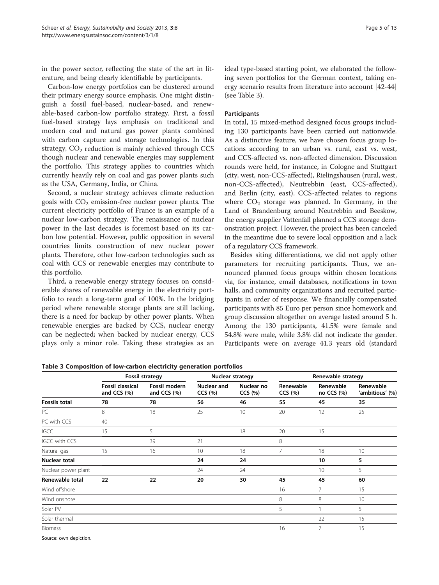in the power sector, reflecting the state of the art in literature, and being clearly identifiable by participants.

Carbon-low energy portfolios can be clustered around their primary energy source emphasis. One might distinguish a fossil fuel-based, nuclear-based, and renewable-based carbon-low portfolio strategy. First, a fossil fuel-based strategy lays emphasis on traditional and modern coal and natural gas power plants combined with carbon capture and storage technologies. In this strategy,  $CO<sub>2</sub>$  reduction is mainly achieved through CCS though nuclear and renewable energies may supplement the portfolio. This strategy applies to countries which currently heavily rely on coal and gas power plants such as the USA, Germany, India, or China.

Second, a nuclear strategy achieves climate reduction goals with  $CO<sub>2</sub>$  emission-free nuclear power plants. The current electricity portfolio of France is an example of a nuclear low-carbon strategy. The renaissance of nuclear power in the last decades is foremost based on its carbon low potential. However, public opposition in several countries limits construction of new nuclear power plants. Therefore, other low-carbon technologies such as coal with CCS or renewable energies may contribute to this portfolio.

Third, a renewable energy strategy focuses on considerable shares of renewable energy in the electricity portfolio to reach a long-term goal of 100%. In the bridging period where renewable storage plants are still lacking, there is a need for backup by other power plants. When renewable energies are backed by CCS, nuclear energy can be neglected; when backed by nuclear energy, CCS plays only a minor role. Taking these strategies as an ideal type-based starting point, we elaborated the following seven portfolios for the German context, taking energy scenario results from literature into account [\[42](#page-12-0)-[44](#page-12-0)] (see Table 3).

#### **Participants**

In total, 15 mixed-method designed focus groups including 130 participants have been carried out nationwide. As a distinctive feature, we have chosen focus group locations according to an urban vs. rural, east vs. west, and CCS-affected vs. non-affected dimension. Discussion rounds were held, for instance, in Cologne and Stuttgart (city, west, non-CCS-affected), Rielingshausen (rural, west, non-CCS-affected), Neutrebbin (east, CCS-affected), and Berlin (city, east). CCS-affected relates to regions where  $CO<sub>2</sub>$  storage was planned. In Germany, in the Land of Brandenburg around Neutrebbin and Beeskow, the energy supplier Vattenfall planned a CCS storage demonstration project. However, the project has been canceled in the meantime due to severe local opposition and a lack of a regulatory CCS framework.

Besides siting differentiations, we did not apply other parameters for recruiting participants. Thus, we announced planned focus groups within chosen locations via, for instance, email databases, notifications in town halls, and community organizations and recruited participants in order of response. We financially compensated participants with 85 Euro per person since homework and group discussion altogether on average lasted around 5 h. Among the 130 participants, 41.5% were female and 54.8% were male, while 3.8% did not indicate the gender. Participants were on average 41.3 years old (standard

| Table 3 Composition of low-carbon electricity generation portfolios |  |  |  |  |
|---------------------------------------------------------------------|--|--|--|--|
|---------------------------------------------------------------------|--|--|--|--|

|                      | <b>Fossil strategy</b>                    |                                 | Nuclear strategy         |                         | Renewable strategy     |                         |                              |  |
|----------------------|-------------------------------------------|---------------------------------|--------------------------|-------------------------|------------------------|-------------------------|------------------------------|--|
|                      | <b>Fossil classical</b><br>and CCS $(\%)$ | Fossil modern<br>and CCS $(\%)$ | Nuclear and<br>$CCS$ (%) | Nuclear no<br>$CCS$ (%) | Renewable<br>$CCS$ (%) | Renewable<br>no CCS (%) | Renewable<br>'ambitious' (%) |  |
| <b>Fossils total</b> | 78                                        | 78                              | 56                       | 46                      | 55                     | 45                      | 35                           |  |
| PC                   | 8                                         | 18                              | 25                       | 10                      | 20                     | 12                      | 25                           |  |
| PC with CCS          | 40                                        |                                 |                          |                         |                        |                         |                              |  |
| <b>IGCC</b>          | 15                                        | 5                               |                          | 18                      | 20                     | 15                      |                              |  |
| <b>IGCC with CCS</b> |                                           | 39                              | 21                       |                         | 8                      |                         |                              |  |
| Natural gas          | 15                                        | 16                              | 10                       | 18                      | $\overline{7}$         | 18                      | 10                           |  |
| Nuclear total        |                                           |                                 | 24                       | 24                      |                        | 10                      | 5                            |  |
| Nuclear power plant  |                                           | 24                              | 24                       |                         | 10                     | 5                       |                              |  |
| Renewable total      | 22                                        | 22                              | 20                       | 30                      | 45                     | 45                      | 60                           |  |
| Wind offshore        |                                           |                                 |                          |                         | 16                     | 7                       | 15                           |  |
| Wind onshore         |                                           |                                 |                          |                         | 8                      | 8                       | 10                           |  |
| Solar PV             |                                           |                                 |                          |                         | 5                      |                         | 5                            |  |
| Solar thermal        |                                           |                                 |                          |                         |                        | 22                      | 15                           |  |
| Biomass              |                                           |                                 |                          |                         | 16                     | 7                       | 15                           |  |
|                      |                                           |                                 |                          |                         |                        |                         |                              |  |

Source: own depiction.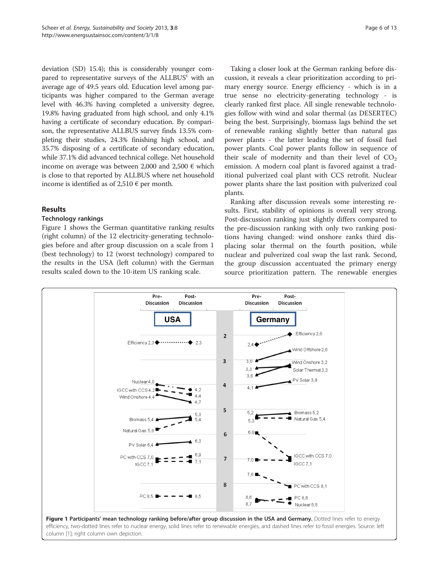deviation (SD) 15.4); this is considerably younger compared to representative surveys of the ALLBUS<sup>c</sup> with an average age of 49.5 years old. Education level among participants was higher compared to the German average level with 46.3% having completed a university degree, 19.8% having graduated from high school, and only 4.1% having a certificate of secondary education. By comparison, the representative ALLBUS survey finds 13.5% completing their studies, 24.3% finishing high school, and 35.7% disposing of a certificate of secondary education, while 37.1% did advanced technical college. Net household income on average was between 2,000 and 2,500  $\epsilon$  which is close to that reported by ALLBUS where net household income is identified as of 2,510  $\epsilon$  per month.

# Results

## Technology rankings

Figure 1 shows the German quantitative ranking results (right column) of the 12 electricity-generating technologies before and after group discussion on a scale from 1 (best technology) to 12 (worst technology) compared to the results in the USA (left column) with the German results scaled down to the 10-item US ranking scale.

Taking a closer look at the German ranking before discussion, it reveals a clear prioritization according to primary energy source. Energy efficiency - which is in a true sense no electricity-generating technology - is clearly ranked first place. All single renewable technologies follow with wind and solar thermal (as DESERTEC) being the best. Surprisingly, biomass lags behind the set of renewable ranking slightly better than natural gas power plants - the latter leading the set of fossil fuel power plants. Coal power plants follow in sequence of their scale of modernity and than their level of  $CO<sub>2</sub>$ emission. A modern coal plant is favored against a traditional pulverized coal plant with CCS retrofit. Nuclear power plants share the last position with pulverized coal plants.

Ranking after discussion reveals some interesting results. First, stability of opinions is overall very strong. Post-discussion ranking just slightly differs compared to the pre-discussion ranking with only two ranking positions having changed: wind onshore ranks third displacing solar thermal on the fourth position, while nuclear and pulverized coal swap the last rank. Second, the group discussion accentuated the primary energy source prioritization pattern. The renewable energies

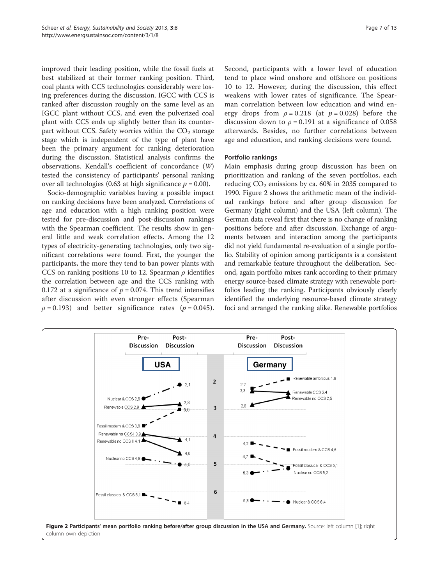improved their leading position, while the fossil fuels at best stabilized at their former ranking position. Third, coal plants with CCS technologies considerably were losing preferences during the discussion. IGCC with CCS is ranked after discussion roughly on the same level as an IGCC plant without CCS, and even the pulverized coal plant with CCS ends up slightly better than its counterpart without CCS. Safety worries within the  $CO<sub>2</sub>$  storage stage which is independent of the type of plant have been the primary argument for ranking deterioration during the discussion. Statistical analysis confirms the observations. Kendall's coefficient of concordance (W) tested the consistency of participants' personal ranking over all technologies (0.63 at high significance  $p = 0.00$ ).

Socio-demographic variables having a possible impact on ranking decisions have been analyzed. Correlations of age and education with a high ranking position were tested for pre-discussion and post-discussion rankings with the Spearman coefficient. The results show in general little and weak correlation effects. Among the 12 types of electricity-generating technologies, only two significant correlations were found. First, the younger the participants, the more they tend to ban power plants with CCS on ranking positions 10 to 12. Spearman  $\rho$  identifies the correlation between age and the CCS ranking with 0.172 at a significance of  $p = 0.074$ . This trend intensifies after discussion with even stronger effects (Spearman  $\rho = 0.193$ ) and better significance rates ( $p = 0.045$ ). Second, participants with a lower level of education tend to place wind onshore and offshore on positions 10 to 12. However, during the discussion, this effect weakens with lower rates of significance. The Spearman correlation between low education and wind energy drops from  $\rho = 0.218$  (at  $p = 0.028$ ) before the discussion down to  $\rho = 0.191$  at a significance of 0.058 afterwards. Besides, no further correlations between age and education, and ranking decisions were found.

#### Portfolio rankings

Main emphasis during group discussion has been on prioritization and ranking of the seven portfolios, each reducing  $CO<sub>2</sub>$  emissions by ca. 60% in 2035 compared to 1990. Figure 2 shows the arithmetic mean of the individual rankings before and after group discussion for Germany (right column) and the USA (left column). The German data reveal first that there is no change of ranking positions before and after discussion. Exchange of arguments between and interaction among the participants did not yield fundamental re-evaluation of a single portfolio. Stability of opinion among participants is a consistent and remarkable feature throughout the deliberation. Second, again portfolio mixes rank according to their primary energy source-based climate strategy with renewable portfolios leading the ranking. Participants obviously clearly identified the underlying resource-based climate strategy foci and arranged the ranking alike. Renewable portfolios

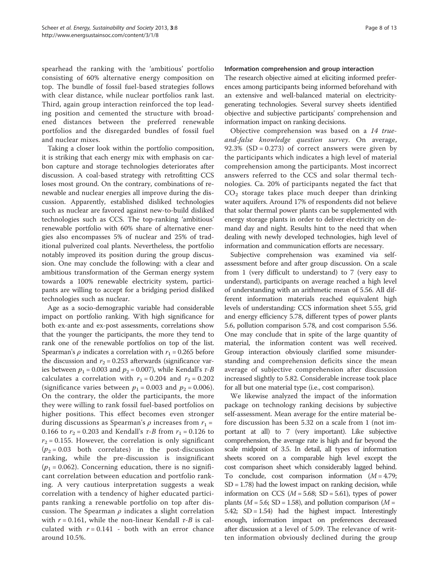spearhead the ranking with the 'ambitious' portfolio consisting of 60% alternative energy composition on top. The bundle of fossil fuel-based strategies follows with clear distance, while nuclear portfolios rank last. Third, again group interaction reinforced the top leading position and cemented the structure with broadened distances between the preferred renewable portfolios and the disregarded bundles of fossil fuel and nuclear mixes.

Taking a closer look within the portfolio composition, it is striking that each energy mix with emphasis on carbon capture and storage technologies deteriorates after discussion. A coal-based strategy with retrofitting CCS loses most ground. On the contrary, combinations of renewable and nuclear energies all improve during the discussion. Apparently, established disliked technologies such as nuclear are favored against new-to-build disliked technologies such as CCS. The top-ranking 'ambitious' renewable portfolio with 60% share of alternative energies also encompasses 5% of nuclear and 25% of traditional pulverized coal plants. Nevertheless, the portfolio notably improved its position during the group discussion. One may conclude the following: with a clear and ambitious transformation of the German energy system towards a 100% renewable electricity system, participants are willing to accept for a bridging period disliked technologies such as nuclear.

Age as a socio-demographic variable had considerable impact on portfolio ranking. With high significance for both ex-ante and ex-post assessments, correlations show that the younger the participants, the more they tend to rank one of the renewable portfolios on top of the list. Spearman's  $\rho$  indicates a correlation with  $r_1 = 0.265$  before the discussion and  $r_2 = 0.253$  afterwards (significance varies between  $p_1 = 0.003$  and  $p_2 = 0.007$ ), while Kendall's  $\tau$ -B calculates a correlation with  $r_1 = 0.204$  and  $r_2 = 0.202$ (significance varies between  $p_1 = 0.003$  and  $p_2 = 0.006$ ). On the contrary, the older the participants, the more they were willing to rank fossil fuel-based portfolios on higher positions. This effect becomes even stronger during discussions as Spearman's  $\rho$  increases from  $r_1$  = 0.166 to  $r_2 = 0.203$  and Kendall's  $\tau$ -B from  $r_1 = 0.126$  to  $r_2$  = 0.155. However, the correlation is only significant  $(p_2 = 0.03)$  both correlates) in the post-discussion ranking, while the pre-discussion is insignificant  $(p_1 = 0.062)$ . Concerning education, there is no significant correlation between education and portfolio ranking. A very cautious interpretation suggests a weak correlation with a tendency of higher educated participants ranking a renewable portfolio on top after discussion. The Spearman  $\rho$  indicates a slight correlation with  $r = 0.161$ , while the non-linear Kendall  $\tau$ -B is calculated with  $r = 0.141$  - both with an error chance around 10.5%.

#### Information comprehension and group interaction

The research objective aimed at eliciting informed preferences among participants being informed beforehand with an extensive and well-balanced material on electricitygenerating technologies. Several survey sheets identified objective and subjective participants' comprehension and information impact on ranking decisions.

Objective comprehension was based on a 14 trueand-false knowledge question survey. On average, 92.3% (SD =  $0.273$ ) of correct answers were given by the participants which indicates a high level of material comprehension among the participants. Most incorrect answers referred to the CCS and solar thermal technologies. Ca. 20% of participants negated the fact that  $CO<sub>2</sub>$  storage takes place much deeper than drinking water aquifers. Around 17% of respondents did not believe that solar thermal power plants can be supplemented with energy storage plants in order to deliver electricity on demand day and night. Results hint to the need that when dealing with newly developed technologies, high level of information and communication efforts are necessary.

Subjective comprehension was examined via selfassessment before and after group discussion. On a scale from 1 (very difficult to understand) to 7 (very easy to understand), participants on average reached a high level of understanding with an arithmetic mean of 5.56. All different information materials reached equivalent high levels of understanding: CCS information sheet 5.55, grid and energy efficiency 5.78, different types of power plants 5.6, pollution comparison 5.78, and cost comparison 5.56. One may conclude that in spite of the large quantity of material, the information content was well received. Group interaction obviously clarified some misunderstanding and comprehension deficits since the mean average of subjective comprehension after discussion increased slightly to 5.82. Considerable increase took place for all but one material type (i.e., cost comparison).

We likewise analyzed the impact of the information package on technology ranking decisions by subjective self-assessment. Mean average for the entire material before discussion has been 5.32 on a scale from 1 (not important at all) to 7 (very important). Like subjective comprehension, the average rate is high and far beyond the scale midpoint of 3.5. In detail, all types of information sheets scored on a comparable high level except the cost comparison sheet which considerably lagged behind. To conclude, cost comparison information  $(M = 4.79;$  $SD = 1.78$ ) had the lowest impact on ranking decision, while information on CCS ( $M = 5.68$ ; SD = 5.61), types of power plants ( $M = 5.6$ ; SD = 1.58), and pollution comparison ( $M =$ 5.42;  $SD = 1.54$ ) had the highest impact. Interestingly enough, information impact on preferences decreased after discussion at a level of 5.09. The relevance of written information obviously declined during the group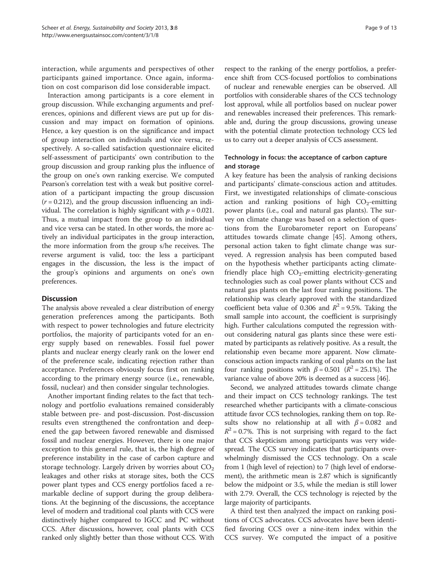interaction, while arguments and perspectives of other participants gained importance. Once again, information on cost comparison did lose considerable impact.

Interaction among participants is a core element in group discussion. While exchanging arguments and preferences, opinions and different views are put up for discussion and may impact on formation of opinions. Hence, a key question is on the significance and impact of group interaction on individuals and vice versa, respectively. A so-called satisfaction questionnaire elicited self-assessment of participants' own contribution to the group discussion and group ranking plus the influence of the group on one's own ranking exercise. We computed Pearson's correlation test with a weak but positive correlation of a participant impacting the group discussion  $(r = 0.212)$ , and the group discussion influencing an individual. The correlation is highly significant with  $p = 0.021$ . Thus, a mutual impact from the group to an individual and vice versa can be stated. In other words, the more actively an individual participates in the group interaction, the more information from the group s/he receives. The reverse argument is valid, too: the less a participant engages in the discussion, the less is the impact of the group's opinions and arguments on one's own preferences.

## **Discussion**

The analysis above revealed a clear distribution of energy generation preferences among the participants. Both with respect to power technologies and future electricity portfolios, the majority of participants voted for an energy supply based on renewables. Fossil fuel power plants and nuclear energy clearly rank on the lower end of the preference scale, indicating rejection rather than acceptance. Preferences obviously focus first on ranking according to the primary energy source (i.e., renewable, fossil, nuclear) and then consider singular technologies.

Another important finding relates to the fact that technology and portfolio evaluations remained considerably stable between pre- and post-discussion. Post-discussion results even strengthened the confrontation and deepened the gap between favored renewable and dismissed fossil and nuclear energies. However, there is one major exception to this general rule, that is, the high degree of preference instability in the case of carbon capture and storage technology. Largely driven by worries about  $CO<sub>2</sub>$ leakages and other risks at storage sites, both the CCS power plant types and CCS energy portfolios faced a remarkable decline of support during the group deliberations. At the beginning of the discussions, the acceptance level of modern and traditional coal plants with CCS were distinctively higher compared to IGCC and PC without CCS. After discussions, however, coal plants with CCS ranked only slightly better than those without CCS. With respect to the ranking of the energy portfolios, a preference shift from CCS-focused portfolios to combinations of nuclear and renewable energies can be observed. All portfolios with considerable shares of the CCS technology lost approval, while all portfolios based on nuclear power and renewables increased their preferences. This remarkable and, during the group discussions, growing unease with the potential climate protection technology CCS led us to carry out a deeper analysis of CCS assessment.

#### Technology in focus: the acceptance of carbon capture and storage

A key feature has been the analysis of ranking decisions and participants' climate-conscious action and attitudes. First, we investigated relationships of climate-conscious action and ranking positions of high  $CO_2$ -emitting power plants (i.e., coal and natural gas plants). The survey on climate change was based on a selection of questions from the Eurobarometer report on Europeans' attitudes towards climate change [[45\]](#page-12-0). Among others, personal action taken to fight climate change was surveyed. A regression analysis has been computed based on the hypothesis whether participants acting climatefriendly place high  $CO_2$ -emitting electricity-generating technologies such as coal power plants without CCS and natural gas plants on the last four ranking positions. The relationship was clearly approved with the standardized coefficient beta value of 0.306 and  $R^2 = 9.5\%$ . Taking the small sample into account, the coefficient is surprisingly high. Further calculations computed the regression without considering natural gas plants since these were estimated by participants as relatively positive. As a result, the relationship even became more apparent. Now climateconscious action impacts ranking of coal plants on the last four ranking positions with  $\beta = 0.501$  ( $R^2 = 25.1\%$ ). The variance value of above 20% is deemed as a success [[46](#page-12-0)].

Second, we analyzed attitudes towards climate change and their impact on CCS technology rankings. The test researched whether participants with a climate-conscious attitude favor CCS technologies, ranking them on top. Results show no relationship at all with  $\beta = 0.082$  and  $R^2$  = 0.7%. This is not surprising with regard to the fact that CCS skepticism among participants was very widespread. The CCS survey indicates that participants overwhelmingly dismissed the CCS technology. On a scale from 1 (high level of rejection) to 7 (high level of endorsement), the arithmetic mean is 2.87 which is significantly below the midpoint or 3.5, while the median is still lower with 2.79. Overall, the CCS technology is rejected by the large majority of participants.

A third test then analyzed the impact on ranking positions of CCS advocates. CCS advocates have been identified favoring CCS over a nine-item index within the CCS survey. We computed the impact of a positive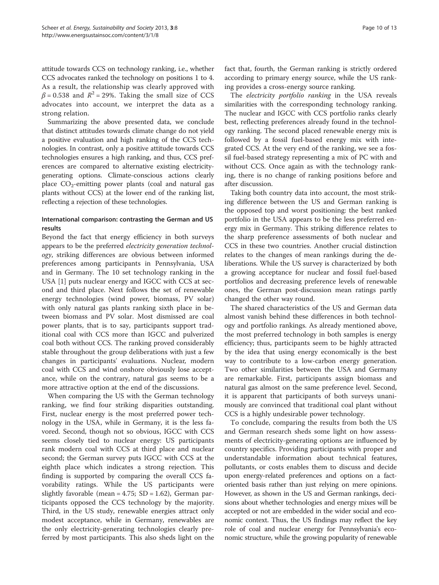attitude towards CCS on technology ranking, i.e., whether CCS advocates ranked the technology on positions 1 to 4. As a result, the relationship was clearly approved with  $\beta$  = 0.538 and  $R^2$  = 29%. Taking the small size of CCS advocates into account, we interpret the data as a strong relation.

Summarizing the above presented data, we conclude that distinct attitudes towards climate change do not yield a positive evaluation and high ranking of the CCS technologies. In contrast, only a positive attitude towards CCS technologies ensures a high ranking, and thus, CCS preferences are compared to alternative existing electricitygenerating options. Climate-conscious actions clearly place  $CO_2$ -emitting power plants (coal and natural gas plants without CCS) at the lower end of the ranking list, reflecting a rejection of these technologies.

# International comparison: contrasting the German and US results

Beyond the fact that energy efficiency in both surveys appears to be the preferred electricity generation technology, striking differences are obvious between informed preferences among participants in Pennsylvania, USA and in Germany. The 10 set technology ranking in the USA [[1\]](#page-11-0) puts nuclear energy and IGCC with CCS at second and third place. Next follows the set of renewable energy technologies (wind power, biomass, PV solar) with only natural gas plants ranking sixth place in between biomass and PV solar. Most dismissed are coal power plants, that is to say, participants support traditional coal with CCS more than IGCC and pulverized coal both without CCS. The ranking proved considerably stable throughout the group deliberations with just a few changes in participants' evaluations. Nuclear, modern coal with CCS and wind onshore obviously lose acceptance, while on the contrary, natural gas seems to be a more attractive option at the end of the discussions.

When comparing the US with the German technology ranking, we find four striking disparities outstanding. First, nuclear energy is the most preferred power technology in the USA, while in Germany, it is the less favored. Second, though not so obvious, IGCC with CCS seems closely tied to nuclear energy: US participants rank modern coal with CCS at third place and nuclear second; the German survey puts IGCC with CCS at the eighth place which indicates a strong rejection. This finding is supported by comparing the overall CCS favorability ratings. While the US participants were slightly favorable (mean =  $4.75$ ; SD = 1.62), German participants opposed the CCS technology by the majority. Third, in the US study, renewable energies attract only modest acceptance, while in Germany, renewables are the only electricity-generating technologies clearly preferred by most participants. This also sheds light on the

fact that, fourth, the German ranking is strictly ordered according to primary energy source, while the US ranking provides a cross-energy source ranking.

The electricity portfolio ranking in the USA reveals similarities with the corresponding technology ranking. The nuclear and IGCC with CCS portfolio ranks clearly best, reflecting preferences already found in the technology ranking. The second placed renewable energy mix is followed by a fossil fuel-based energy mix with integrated CCS. At the very end of the ranking, we see a fossil fuel-based strategy representing a mix of PC with and without CCS. Once again as with the technology ranking, there is no change of ranking positions before and after discussion.

Taking both country data into account, the most striking difference between the US and German ranking is the opposed top and worst positioning: the best ranked portfolio in the USA appears to be the less preferred energy mix in Germany. This striking difference relates to the sharp preference assessments of both nuclear and CCS in these two countries. Another crucial distinction relates to the changes of mean rankings during the deliberations. While the US survey is characterized by both a growing acceptance for nuclear and fossil fuel-based portfolios and decreasing preference levels of renewable ones, the German post-discussion mean ratings partly changed the other way round.

The shared characteristics of the US and German data almost vanish behind these differences in both technology and portfolio rankings. As already mentioned above, the most preferred technology in both samples is energy efficiency; thus, participants seem to be highly attracted by the idea that using energy economically is the best way to contribute to a low-carbon energy generation. Two other similarities between the USA and Germany are remarkable. First, participants assign biomass and natural gas almost on the same preference level. Second, it is apparent that participants of both surveys unanimously are convinced that traditional coal plant without CCS is a highly undesirable power technology.

To conclude, comparing the results from both the US and German research sheds some light on how assessments of electricity-generating options are influenced by country specifics. Providing participants with proper and understandable information about technical features, pollutants, or costs enables them to discuss and decide upon energy-related preferences and options on a factoriented basis rather than just relying on mere opinions. However, as shown in the US and German rankings, decisions about whether technologies and energy mixes will be accepted or not are embedded in the wider social and economic context. Thus, the US findings may reflect the key role of coal and nuclear energy for Pennsylvania's economic structure, while the growing popularity of renewable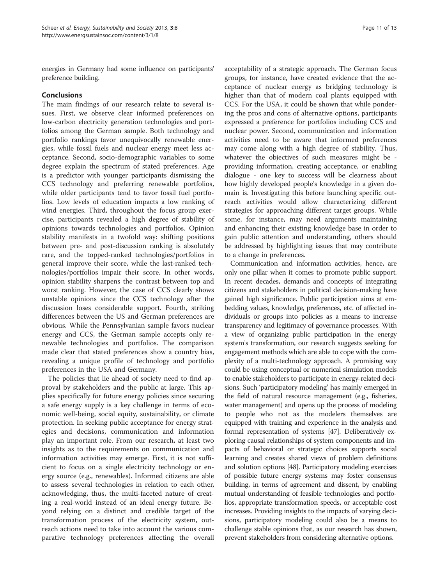energies in Germany had some influence on participants' preference building.

# Conclusions

The main findings of our research relate to several issues. First, we observe clear informed preferences on low-carbon electricity generation technologies and portfolios among the German sample. Both technology and portfolio rankings favor unequivocally renewable energies, while fossil fuels and nuclear energy meet less acceptance. Second, socio-demographic variables to some degree explain the spectrum of stated preferences. Age is a predictor with younger participants dismissing the CCS technology and preferring renewable portfolios, while older participants tend to favor fossil fuel portfolios. Low levels of education impacts a low ranking of wind energies. Third, throughout the focus group exercise, participants revealed a high degree of stability of opinions towards technologies and portfolios. Opinion stability manifests in a twofold way: shifting positions between pre- and post-discussion ranking is absolutely rare, and the topped-ranked technologies/portfolios in general improve their score, while the last-ranked technologies/portfolios impair their score. In other words, opinion stability sharpens the contrast between top and worst ranking. However, the case of CCS clearly shows unstable opinions since the CCS technology after the discussion loses considerable support. Fourth, striking differences between the US and German preferences are obvious. While the Pennsylvanian sample favors nuclear energy and CCS, the German sample accepts only renewable technologies and portfolios. The comparison made clear that stated preferences show a country bias, revealing a unique profile of technology and portfolio preferences in the USA and Germany.

The policies that lie ahead of society need to find approval by stakeholders and the public at large. This applies specifically for future energy policies since securing a safe energy supply is a key challenge in terms of economic well-being, social equity, sustainability, or climate protection. In seeking public acceptance for energy strategies and decisions, communication and information play an important role. From our research, at least two insights as to the requirements on communication and information activities may emerge. First, it is not sufficient to focus on a single electricity technology or energy source (e.g., renewables). Informed citizens are able to assess several technologies in relation to each other, acknowledging, thus, the multi-faceted nature of creating a real-world instead of an ideal energy future. Beyond relying on a distinct and credible target of the transformation process of the electricity system, outreach actions need to take into account the various comparative technology preferences affecting the overall acceptability of a strategic approach. The German focus groups, for instance, have created evidence that the acceptance of nuclear energy as bridging technology is higher than that of modern coal plants equipped with CCS. For the USA, it could be shown that while pondering the pros and cons of alternative options, participants expressed a preference for portfolios including CCS and nuclear power. Second, communication and information activities need to be aware that informed preferences may come along with a high degree of stability. Thus, whatever the objectives of such measures might be providing information, creating acceptance, or enabling dialogue - one key to success will be clearness about how highly developed people's knowledge in a given domain is. Investigating this before launching specific outreach activities would allow characterizing different strategies for approaching different target groups. While some, for instance, may need arguments maintaining and enhancing their existing knowledge base in order to gain public attention and understanding, others should be addressed by highlighting issues that may contribute to a change in preferences.

Communication and information activities, hence, are only one pillar when it comes to promote public support. In recent decades, demands and concepts of integrating citizens and stakeholders in political decision-making have gained high significance. Public participation aims at embedding values, knowledge, preferences, etc. of affected individuals or groups into policies as a means to increase transparency and legitimacy of governance processes. With a view of organizing public participation in the energy system's transformation, our research suggests seeking for engagement methods which are able to cope with the complexity of a multi-technology approach. A promising way could be using conceptual or numerical simulation models to enable stakeholders to participate in energy-related decisions. Such 'participatory modeling' has mainly emerged in the field of natural resource management (e.g., fisheries, water management) and opens up the process of modeling to people who not as the modelers themselves are equipped with training and experience in the analysis and formal representation of systems [\[47\]](#page-12-0). Deliberatively exploring causal relationships of system components and impacts of behavioral or strategic choices supports social learning and creates shared views of problem definitions and solution options [[48](#page-12-0)]. Participatory modeling exercises of possible future energy systems may foster consensus building, in terms of agreement and dissent, by enabling mutual understanding of feasible technologies and portfolios, appropriate transformation speeds, or acceptable cost increases. Providing insights to the impacts of varying decisions, participatory modeling could also be a means to challenge stable opinions that, as our research has shown, prevent stakeholders from considering alternative options.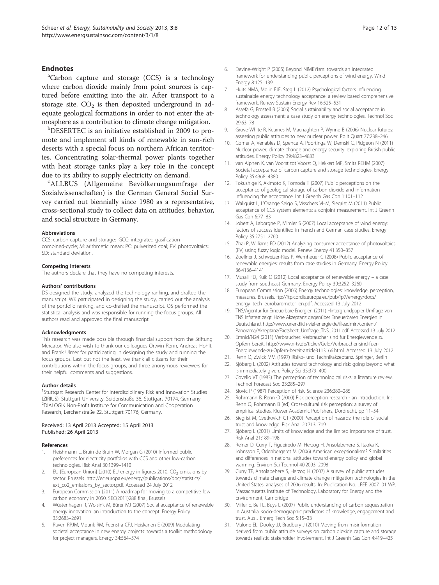#### <span id="page-11-0"></span>**Endnotes**

<sup>a</sup>Carbon capture and storage (CCS) is a technology where carbon dioxide mainly from point sources is captured before emitting into the air. After transport to a storage site,  $CO<sub>2</sub>$  is then deposited underground in adequate geological formations in order to not enter the atmosphere as a contribution to climate change mitigation.

<sup>b</sup>DESERTEC is an initiative established in 2009 to promote and implement all kinds of renewable in sun-rich deserts with a special focus on northern African territories. Concentrating solar-thermal power plants together with heat storage tanks play a key role in the concept due to its ability to supply electricity on demand.

ALLBUS (Allgemeine Bevölkerungsumfrage der Sozialwissenschaften) is the German General Social Survey carried out biennially since 1980 as a representative, cross-sectional study to collect data on attitudes, behavior, and social structure in Germany.

#### Abbreviations

CCS: carbon capture and storage; IGCC: integrated gasification combined-cycle; M: arithmetic mean; PC: pulverized coal; PV: photovoltaics; SD: standard deviation.

#### Competing interests

The authors declare that they have no competing interests.

#### Authors' contributions

DS designed the study, analyzed the technology ranking, and drafted the manuscript. WK participated in designing the study, carried out the analysis of the portfolio ranking, and co-drafted the manuscript. OS performed the statistical analysis and was responsible for running the focus groups. All authors read and approved the final manuscript.

#### Acknowledgments

This research was made possible through financial support from the Stiftung Mercator. We also wish to thank our colleagues Ortwin Renn, Andreas Hohlt, and Frank Ulmer for participating in designing the study and running the focus groups. Last but not the least, we thank all citizens for their contributions within the focus groups, and three anonymous reviewers for their helpful comments and suggestions.

#### Author details

<sup>1</sup>Stuttgart Research Center for Interdisciplinary Risk and Innovation Studies (ZIRIUS), Stuttgart University, Seidenstraße 36, Stuttgart 70174, Germany. 2 DIALOGIK Non-Profit Institute for Communication and Cooperation Research, Lerchenstraße 22, Stuttgart 70176, Germany.

#### Received: 13 April 2013 Accepted: 15 April 2013 Published: 26 April 2013

#### References

- 1. Fleishmann L, Bruin de Bruin W, Morgan G (2010) Informed public preferences for electricity portfolios with CCS and other low-carbon technologies. Risk Anal 30:1399–1410
- EU [European Union] (2010) EU energy in figures 2010.  $CO<sub>2</sub>$  emissions by sector. Brussels. [http://ec.europa.eu/energy/publications/doc/statistics/](http://ec.europa.eu/energy/publications/doc/statistics/ext_co2_emissions_by_sector.pdf) [ext\\_co2\\_emissions\\_by\\_sector.pdf](http://ec.europa.eu/energy/publications/doc/statistics/ext_co2_emissions_by_sector.pdf). Accessed 24 July 2012
- 3. European Commission (2011) A roadmap for moving to a competitive low carbon economy in 2050. SEC(2011)288 final, Brussels
- 4. Wüstenhagen R, Wolsink M, Bürer MJ (2007) Social acceptance of renewable energy innovation: an introduction to the concept. Energy Policy 35:2683–2691
- 5. Raven RPJM, Mourik RM, Feenstra CFJ, Heiskanen E (2009) Modulating societal acceptance in new energy projects: towards a toolkit methodology for project managers. Energy 34:564–574
- 6. Devine-Wright P (2005) Beyond NIMBYism: towards an integrated framework for understanding public perceptions of wind energy. Wind Energy 8:125–139
- 7. Huits NMA, Molin EJE, Steg L (2012) Psychological factors influencing sustainable energy technology acceptance: a review based comprehensive framework. Renew Sustain Energy Rev 16:525–531
- 8. Assefa G, Frostell B (2006) Social sustainability and social acceptance in technology assessment: a case study on energy technologies. Technol Soc 29:63–78
- 9. Grove-White R, Kearnes M, Macnaghten P, Wynne B (2006) Nuclear futures: assessing public attitudes to new nuclear power. Polit Quart 77:238–246
- 10. Corner A, Venables D, Spence A, Poortinga W, Demski C, Pidgeon N (2011) Nuclear power, climate change and energy security: exploring British public attitudes. Energy Policy 39:4823–4833
- 11. van Alphen K, van Voorst tot Voorst Q, Hekkert MP, Smits REHM (2007) Societal acceptance of carbon capture and storage technologies. Energy Policy 35:4368–4380
- 12. Tokushige K, Akimoto K, Tomoda T (2007) Public perceptions on the acceptance of geological storage of carbon dioxide and information influencing the acceptance. Int J Greenh Gas Con 1:101–112
- 13. Wallquist L, L'Orange Seigo S, Visschers VHM, Siegrist M (2011) Public acceptance of CCS system elements: a conjoint measurement. Int J Greenh Gas Con 6:77–83
- 14. Jobert A, Laborgne P, Mimler S (2007) Local acceptance of wind energy: factors of success identified in French and German case studies. Energy Policy 35:2751–2760
- 15. Zhai P, Williams ED (2012) Analyzing consumer acceptance of photovoltaics (PV) using fuzzy logic model. Renew Energy 41:350–357
- 16. Zoellner J, Schweizer-Ries P, Wemheuer C (2008) Public acceptance of renewable energies: results from case studies in Germany. Energy Policy 36:4136–4141
- 17. Musall FD, Kuik O (2012) Local acceptance of renewable energy a case study from southeast Germany. Energy Policy 39:3252–3260
- 18. European Commission (2006) Energy technologies: knowledge, perception, measures. Brussels. [ftp://ftp.cordis.europa.eu/pub/fp7/energy/docs/](ftp://ftp.cordis.europa.eu/pub/fp7/energy/docs/energy_tech_eurobarometer_en.pdf) [energy\\_tech\\_eurobarometer\\_en.pdf](ftp://ftp.cordis.europa.eu/pub/fp7/energy/docs/energy_tech_eurobarometer_en.pdf). Accessed 13 July 2012
- 19. TNS/Agentur für Erneuerbare Energien (2011) Hintergrundpapier Umfrage von TNS Infratest zeigt: Hohe Akzeptanz gegenüber Erneuerbaren Energien in Deutschland. [http://www.unendlich-viel-energie.de/fileadmin/content/](http://www.unendlich-viel-energie.de/fileadmin/content/Panorama/Akzeptanz/Factsheet_Umfrage_TNS_2011.pdf) [Panorama/Akzeptanz/Factsheet\\_Umfrage\\_TNS\\_2011.pdf.](http://www.unendlich-viel-energie.de/fileadmin/content/Panorama/Akzeptanz/Factsheet_Umfrage_TNS_2011.pdf) Accessed 13 July 2012
- 20. Emnid/N24 (2011) Verbraucher: Verbraucher sind für Energiewende zu Opfern bereit. [http://www.n-tv.de/ticker/Geld/Verbraucher-sind-fuer-](http://www.n-tv.de/ticker/Geld/Verbraucher-sind-fuer-Energiewende-zu-Opfern-bereit-article3113166.html)[Energiewende-zu-Opfern-bereit-article3113166.html.](http://www.n-tv.de/ticker/Geld/Verbraucher-sind-fuer-Energiewende-zu-Opfern-bereit-article3113166.html) Accessed 13 July 2012
- 21. Renn O, Zwick MM (1997) Risiko- und Technikakzeptanz. Springer, Berlin
- Sjöberg L (2002) Attitudes toward technology and risk: going beyond what is immediately given. Policy Sci 35:379–400
- 23. Covello VT (1983) The perception of technological risks: a literature review. Technol Forecast Soc 23:285–297
- 24. Slovic P (1987) Perception of risk. Science 236:280–285
- 25. Rohrmann B, Renn O (2000) Risk perception research an introduction. In: Renn O, Rohrmann B (ed) Cross-cultural risk perception: a survey of empirical studies. Kluwer Academic Publishers, Dordrecht, pp 11–54
- 26. Siegrist M, Cvetkovich GT (2000) Perception of hazards: the role of social trust and knowledge. Risk Anal 20:713–719
- 27. Sjöberg L (2001) Limits of knowledge and the limited importance of trust. Risk Anal 21:189–198
- 28. Reiner D, Curry T, Figueiredo M, Herzog H, Ansolabehere S, Itaoka K, Johnsson F, Odenbergeret M (2006) American exceptionalism? Similarities and differences in national attitudes toward energy policy and global warming. Environ Sci Technol 40:2093–2098
- 29. Curry TE, Ansolabehere S, Herzog H (2007) A survey of public attitudes towards climate change and climate change mitigation technologies in the United States: analyses of 2006 results. In: Publication No. LFEE 2007–01 WP. Massachusetts Institute of Technology, Laboratory for Energy and the Environment, Cambridge
- 30. Miller E, Bell L, Buys L (2007) Public understanding of carbon sequestration in Australia: socio-demographic predictors of knowledge, engagement and trust. Aus J Emerg Tech Soc 5:15–33
- 31. Malone EL, Dooley JJ, Bradbury J (2010) Moving from misinformation derived from public attitude surveys on carbon dioxide capture and storage towards realistic stakeholder involvement. Int J Greenh Gas Con 4:419–425